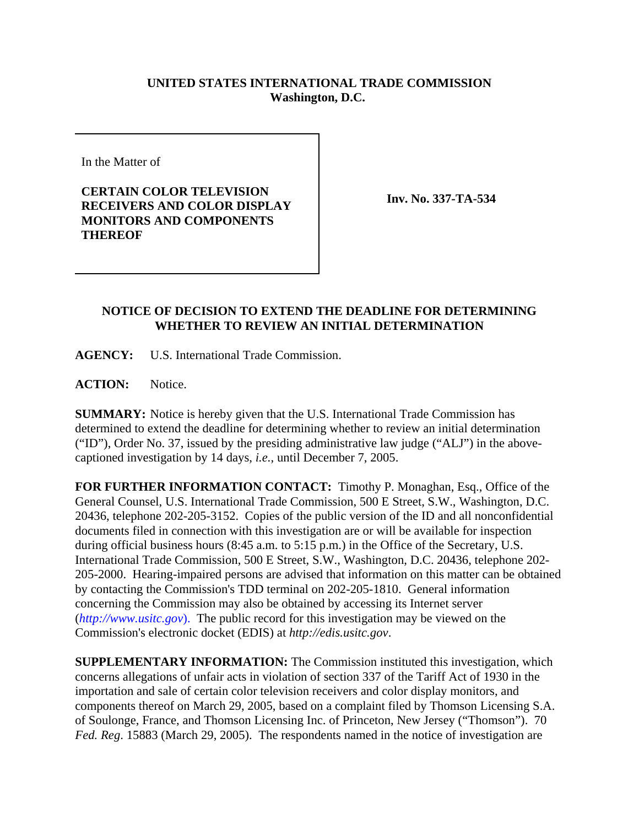## **UNITED STATES INTERNATIONAL TRADE COMMISSION Washington, D.C.**

In the Matter of

**CERTAIN COLOR TELEVISION RECEIVERS AND COLOR DISPLAY MONITORS AND COMPONENTS THEREOF**

**Inv. No. 337-TA-534**

## **NOTICE OF DECISION TO EXTEND THE DEADLINE FOR DETERMINING WHETHER TO REVIEW AN INITIAL DETERMINATION**

**AGENCY:** U.S. International Trade Commission.

**ACTION:** Notice.

**SUMMARY:** Notice is hereby given that the U.S. International Trade Commission has determined to extend the deadline for determining whether to review an initial determination ("ID"), Order No. 37, issued by the presiding administrative law judge ("ALJ") in the abovecaptioned investigation by 14 days, *i.e.*, until December 7, 2005.

**FOR FURTHER INFORMATION CONTACT:** Timothy P. Monaghan, Esq., Office of the General Counsel, U.S. International Trade Commission, 500 E Street, S.W., Washington, D.C. 20436, telephone 202-205-3152. Copies of the public version of the ID and all nonconfidential documents filed in connection with this investigation are or will be available for inspection during official business hours (8:45 a.m. to 5:15 p.m.) in the Office of the Secretary, U.S. International Trade Commission, 500 E Street, S.W., Washington, D.C. 20436, telephone 202- 205-2000. Hearing-impaired persons are advised that information on this matter can be obtained by contacting the Commission's TDD terminal on 202-205-1810. General information concerning the Commission may also be obtained by accessing its Internet server (*http://www.usitc.gov*). The public record for this investigation may be viewed on the Commission's electronic docket (EDIS) at *http://edis.usitc.gov*.

**SUPPLEMENTARY INFORMATION:** The Commission instituted this investigation, which concerns allegations of unfair acts in violation of section 337 of the Tariff Act of 1930 in the importation and sale of certain color television receivers and color display monitors, and components thereof on March 29, 2005, based on a complaint filed by Thomson Licensing S.A. of Soulonge, France, and Thomson Licensing Inc. of Princeton, New Jersey ("Thomson"). 70 *Fed. Reg*. 15883 (March 29, 2005). The respondents named in the notice of investigation are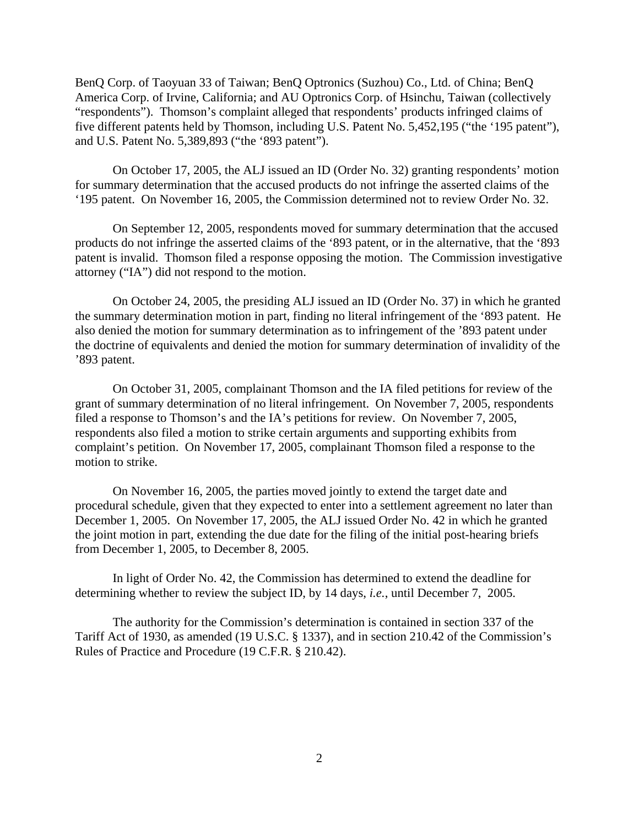BenQ Corp. of Taoyuan 33 of Taiwan; BenQ Optronics (Suzhou) Co., Ltd. of China; BenQ America Corp. of Irvine, California; and AU Optronics Corp. of Hsinchu, Taiwan (collectively "respondents"). Thomson's complaint alleged that respondents' products infringed claims of five different patents held by Thomson, including U.S. Patent No. 5,452,195 ("the '195 patent"), and U.S. Patent No. 5,389,893 ("the '893 patent").

On October 17, 2005, the ALJ issued an ID (Order No. 32) granting respondents' motion for summary determination that the accused products do not infringe the asserted claims of the '195 patent. On November 16, 2005, the Commission determined not to review Order No. 32.

On September 12, 2005, respondents moved for summary determination that the accused products do not infringe the asserted claims of the '893 patent, or in the alternative, that the '893 patent is invalid. Thomson filed a response opposing the motion. The Commission investigative attorney ("IA") did not respond to the motion.

On October 24, 2005, the presiding ALJ issued an ID (Order No. 37) in which he granted the summary determination motion in part, finding no literal infringement of the '893 patent. He also denied the motion for summary determination as to infringement of the '893 patent under the doctrine of equivalents and denied the motion for summary determination of invalidity of the '893 patent.

On October 31, 2005, complainant Thomson and the IA filed petitions for review of the grant of summary determination of no literal infringement. On November 7, 2005, respondents filed a response to Thomson's and the IA's petitions for review. On November 7, 2005, respondents also filed a motion to strike certain arguments and supporting exhibits from complaint's petition. On November 17, 2005, complainant Thomson filed a response to the motion to strike.

On November 16, 2005, the parties moved jointly to extend the target date and procedural schedule, given that they expected to enter into a settlement agreement no later than December 1, 2005. On November 17, 2005, the ALJ issued Order No. 42 in which he granted the joint motion in part, extending the due date for the filing of the initial post-hearing briefs from December 1, 2005, to December 8, 2005.

In light of Order No. 42, the Commission has determined to extend the deadline for determining whether to review the subject ID, by 14 days, *i.e.*, until December 7, 2005.

The authority for the Commission's determination is contained in section 337 of the Tariff Act of 1930, as amended (19 U.S.C. § 1337), and in section 210.42 of the Commission's Rules of Practice and Procedure (19 C.F.R. § 210.42).